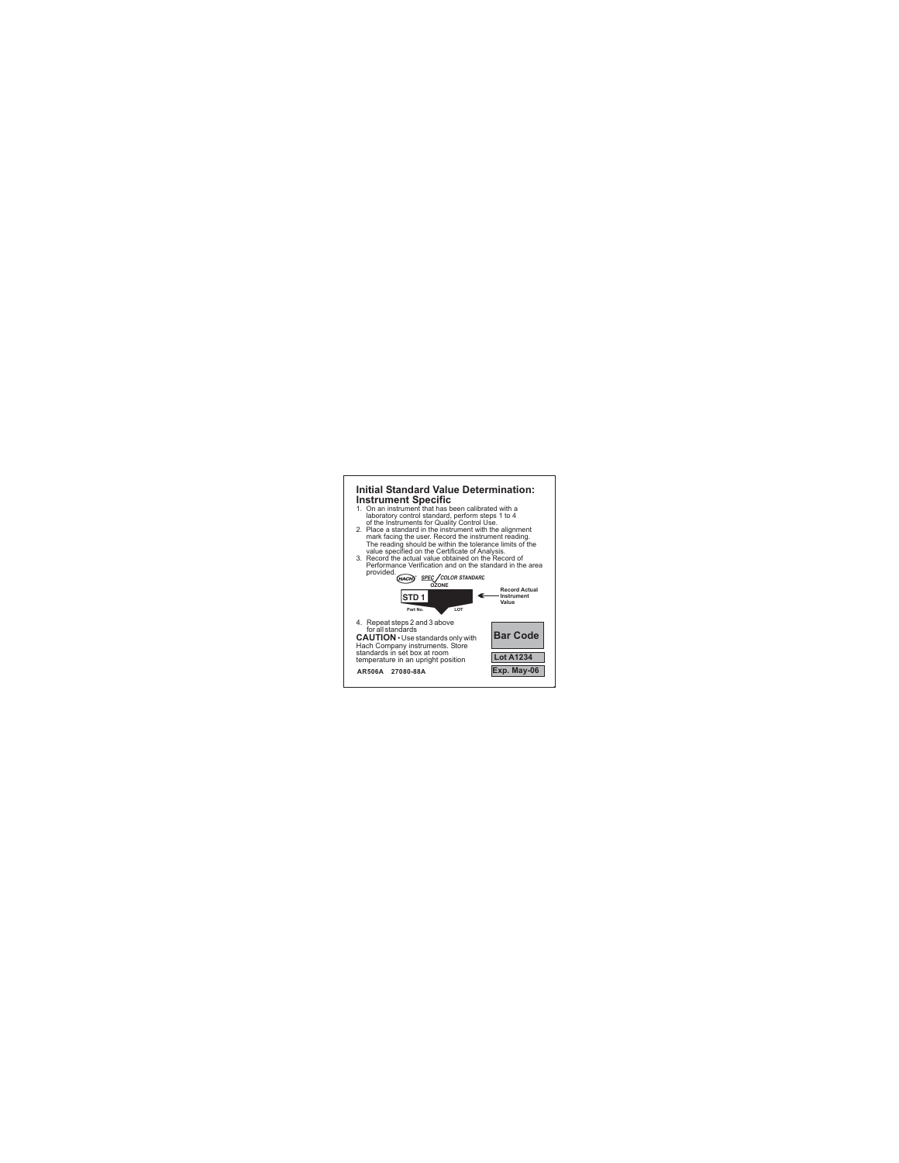## **. . Initial Standard Value Determination: Instrument Specific**

- 1. On an instrument that has been calibrated with a laboratory control standard, perform steps 1 to 4 of the Instruments for Quality Control Use.
- 2. Place a standard in the instrument with the alignment mark facing the user. Record the instrument reading. The reading should be within the tolerance limits of the value specified on the Certificate of Analysis.
- 3. Record the actual value obtained on the Record of Performance Verification and on the standard in the area provided.

**. .**



4. Repeat steps 2 and 3 above for all standards **CAUTION** • Use standards only with **Bar Code** Hach Company instruments. Store standards in set box at room temperature in an upright position

**AR506A 27080-88A**